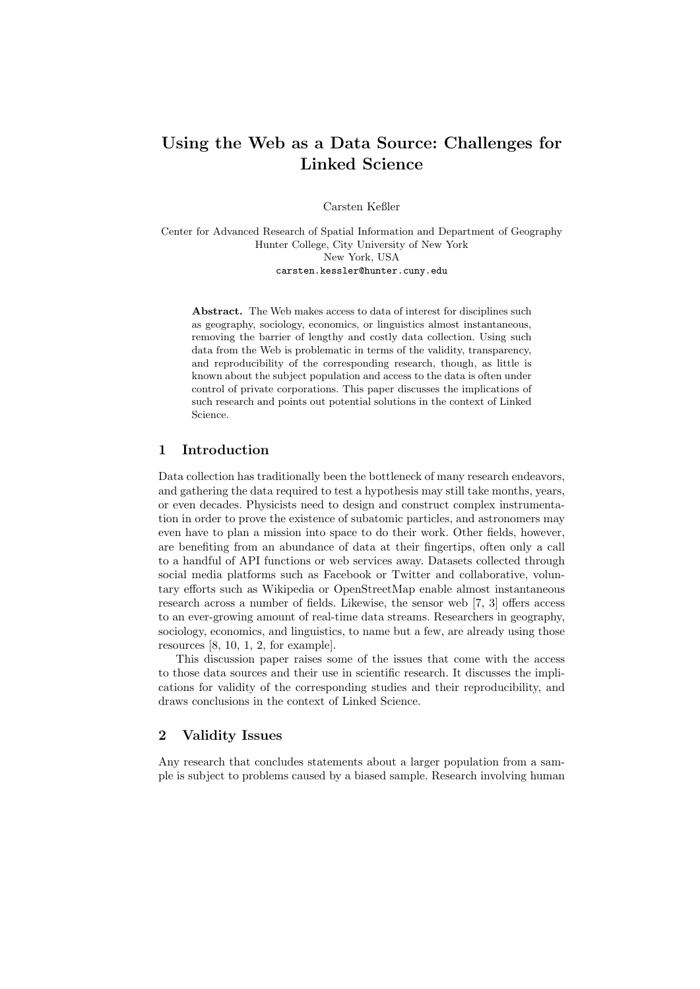# Using the Web as a Data Source: Challenges for Linked Science

Carsten Keßler

Center for Advanced Research of Spatial Information and Department of Geography Hunter College, City University of New York New York, USA carsten.kessler@hunter.cuny.edu

Abstract. The Web makes access to data of interest for disciplines such as geography, sociology, economics, or linguistics almost instantaneous, removing the barrier of lengthy and costly data collection. Using such data from the Web is problematic in terms of the validity, transparency, and reproducibility of the corresponding research, though, as little is known about the subject population and access to the data is often under control of private corporations. This paper discusses the implications of such research and points out potential solutions in the context of Linked Science.

## 1 Introduction

Data collection has traditionally been the bottleneck of many research endeavors, and gathering the data required to test a hypothesis may still take months, years, or even decades. Physicists need to design and construct complex instrumentation in order to prove the existence of subatomic particles, and astronomers may even have to plan a mission into space to do their work. Other fields, however, are benefiting from an abundance of data at their fingertips, often only a call to a handful of API functions or web services away. Datasets collected through social media platforms such as Facebook or Twitter and collaborative, voluntary efforts such as Wikipedia or OpenStreetMap enable almost instantaneous research across a number of fields. Likewise, the sensor web [7, 3] offers access to an ever-growing amount of real-time data streams. Researchers in geography, sociology, economics, and linguistics, to name but a few, are already using those resources [8, 10, 1, 2, for example].

This discussion paper raises some of the issues that come with the access to those data sources and their use in scientific research. It discusses the implications for validity of the corresponding studies and their reproducibility, and draws conclusions in the context of Linked Science.

## 2 Validity Issues

Any research that concludes statements about a larger population from a sample is subject to problems caused by a biased sample. Research involving human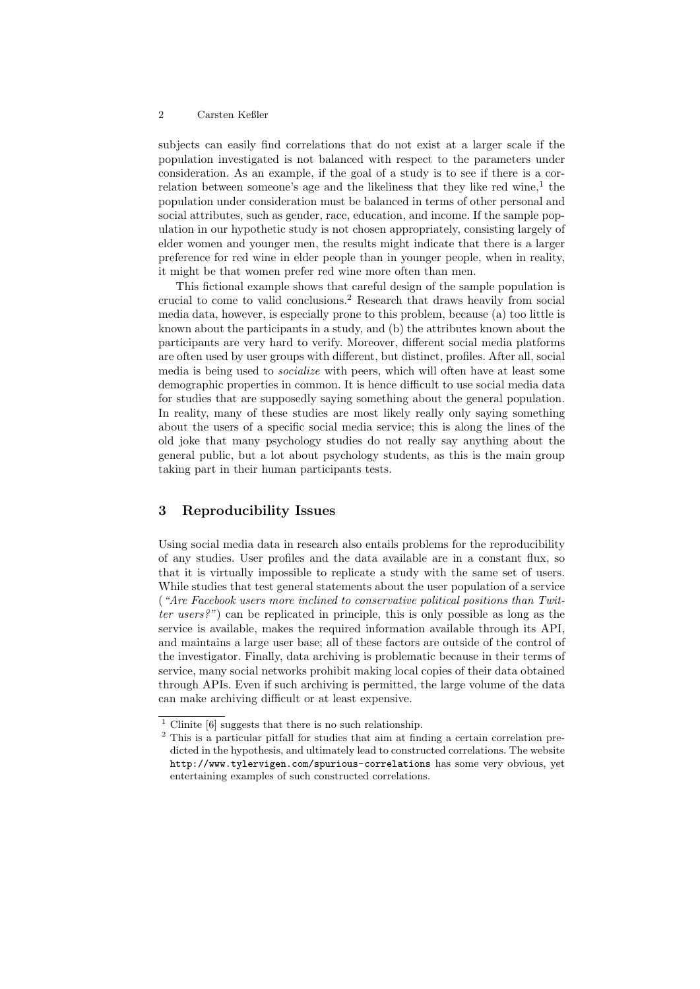#### 2 Carsten Keßler

subjects can easily find correlations that do not exist at a larger scale if the population investigated is not balanced with respect to the parameters under consideration. As an example, if the goal of a study is to see if there is a correlation between someone's age and the likeliness that they like red wine,<sup>1</sup> the population under consideration must be balanced in terms of other personal and social attributes, such as gender, race, education, and income. If the sample population in our hypothetic study is not chosen appropriately, consisting largely of elder women and younger men, the results might indicate that there is a larger preference for red wine in elder people than in younger people, when in reality, it might be that women prefer red wine more often than men.

This fictional example shows that careful design of the sample population is crucial to come to valid conclusions.<sup>2</sup> Research that draws heavily from social media data, however, is especially prone to this problem, because (a) too little is known about the participants in a study, and (b) the attributes known about the participants are very hard to verify. Moreover, different social media platforms are often used by user groups with different, but distinct, profiles. After all, social media is being used to socialize with peers, which will often have at least some demographic properties in common. It is hence difficult to use social media data for studies that are supposedly saying something about the general population. In reality, many of these studies are most likely really only saying something about the users of a specific social media service; this is along the lines of the old joke that many psychology studies do not really say anything about the general public, but a lot about psychology students, as this is the main group taking part in their human participants tests.

## 3 Reproducibility Issues

Using social media data in research also entails problems for the reproducibility of any studies. User profiles and the data available are in a constant flux, so that it is virtually impossible to replicate a study with the same set of users. While studies that test general statements about the user population of a service ("Are Facebook users more inclined to conservative political positions than Twitter users?") can be replicated in principle, this is only possible as long as the service is available, makes the required information available through its API, and maintains a large user base; all of these factors are outside of the control of the investigator. Finally, data archiving is problematic because in their terms of service, many social networks prohibit making local copies of their data obtained through APIs. Even if such archiving is permitted, the large volume of the data can make archiving difficult or at least expensive.

 $^{\rm 1}$  Clinite [6] suggests that there is no such relationship.

<sup>2</sup> This is a particular pitfall for studies that aim at finding a certain correlation predicted in the hypothesis, and ultimately lead to constructed correlations. The website http://www.tylervigen.com/spurious-correlations has some very obvious, yet entertaining examples of such constructed correlations.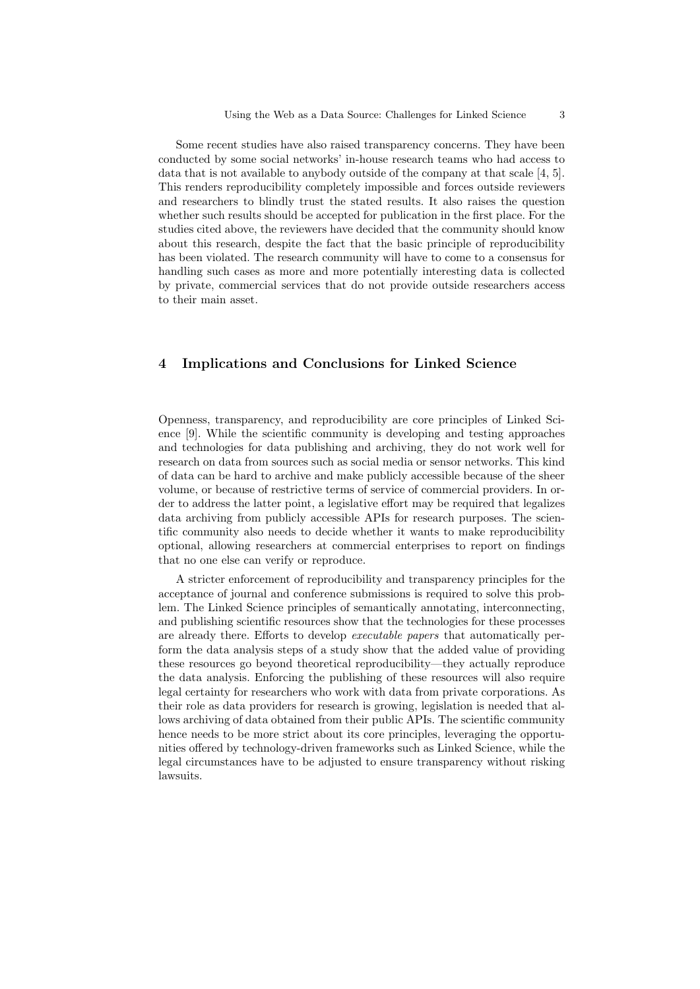Some recent studies have also raised transparency concerns. They have been conducted by some social networks' in-house research teams who had access to data that is not available to anybody outside of the company at that scale [4, 5]. This renders reproducibility completely impossible and forces outside reviewers and researchers to blindly trust the stated results. It also raises the question whether such results should be accepted for publication in the first place. For the studies cited above, the reviewers have decided that the community should know about this research, despite the fact that the basic principle of reproducibility has been violated. The research community will have to come to a consensus for handling such cases as more and more potentially interesting data is collected by private, commercial services that do not provide outside researchers access to their main asset.

## 4 Implications and Conclusions for Linked Science

Openness, transparency, and reproducibility are core principles of Linked Science [9]. While the scientific community is developing and testing approaches and technologies for data publishing and archiving, they do not work well for research on data from sources such as social media or sensor networks. This kind of data can be hard to archive and make publicly accessible because of the sheer volume, or because of restrictive terms of service of commercial providers. In order to address the latter point, a legislative effort may be required that legalizes data archiving from publicly accessible APIs for research purposes. The scientific community also needs to decide whether it wants to make reproducibility optional, allowing researchers at commercial enterprises to report on findings that no one else can verify or reproduce.

A stricter enforcement of reproducibility and transparency principles for the acceptance of journal and conference submissions is required to solve this problem. The Linked Science principles of semantically annotating, interconnecting, and publishing scientific resources show that the technologies for these processes are already there. Efforts to develop executable papers that automatically perform the data analysis steps of a study show that the added value of providing these resources go beyond theoretical reproducibility—they actually reproduce the data analysis. Enforcing the publishing of these resources will also require legal certainty for researchers who work with data from private corporations. As their role as data providers for research is growing, legislation is needed that allows archiving of data obtained from their public APIs. The scientific community hence needs to be more strict about its core principles, leveraging the opportunities offered by technology-driven frameworks such as Linked Science, while the legal circumstances have to be adjusted to ensure transparency without risking lawsuits.